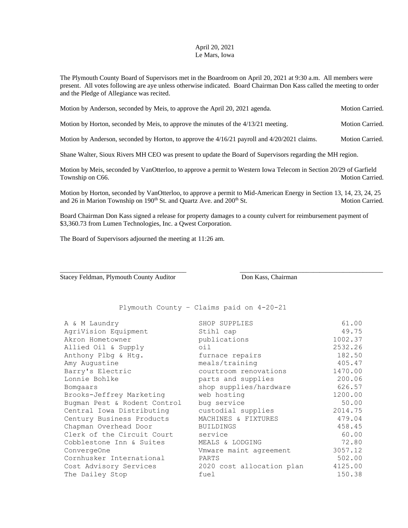## April 20, 2021 Le Mars, Iowa

The Plymouth County Board of Supervisors met in the Boardroom on April 20, 2021 at 9:30 a.m. All members were present. All votes following are aye unless otherwise indicated. Board Chairman Don Kass called the meeting to order and the Pledge of Allegiance was recited.

| Motion by Anderson, seconded by Meis, to approve the April 20, 2021 agenda. | Motion Carried. |
|-----------------------------------------------------------------------------|-----------------|
|                                                                             |                 |

Motion by Horton, seconded by Meis, to approve the minutes of the 4/13/21 meeting. Motion Carried.

Motion by Anderson, seconded by Horton, to approve the 4/16/21 payroll and 4/20/2021 claims. Motion Carried.

Shane Walter, Sioux Rivers MH CEO was present to update the Board of Supervisors regarding the MH region.

Motion by Meis, seconded by VanOtterloo, to approve a permit to Western Iowa Telecom in Section 20/29 of Garfield Township on C66. Motion Carried.

Motion by Horton, seconded by VanOtterloo, to approve a permit to Mid-American Energy in Section 13, 14, 23, 24, 25 and 26 in Marion Township on 190<sup>th</sup> St. and Quartz Ave. and 200<sup>th</sup> St. Motion Carried.

\_\_\_\_\_\_\_\_\_\_\_\_\_\_\_\_\_\_\_\_\_\_\_\_\_\_\_\_\_\_\_\_\_\_\_\_\_\_ \_\_\_\_\_\_\_\_\_\_\_\_\_\_\_\_\_\_\_\_\_\_\_\_\_\_\_\_\_\_\_\_\_\_\_\_\_\_\_\_\_\_\_

Board Chairman Don Kass signed a release for property damages to a county culvert for reimbursement payment of \$3,360.73 from Lumen Technologies, Inc. a Qwest Corporation.

The Board of Supervisors adjourned the meeting at 11:26 am.

Stacey Feldman, Plymouth County Auditor Don Kass, Chairman

Plymouth County – Claims paid on 4-20-21

| A & M Laundry<br>AgriVision Equipment<br>Akron Hometowner<br>Allied Oil & Supply<br>Anthony Plbg & Htg.<br>Amy Augustine<br>Barry's Electric<br>Lonnie Bohlke<br>Bomgaars<br>Brooks-Jeffrey Marketing<br>Bugman Pest & Rodent Control | SHOP SUPPLIES<br>Stihl cap<br>publications<br>oil<br>furnace repairs<br>meals/training<br>courtroom renovations<br>parts and supplies<br>shop supplies/hardware<br>web hosting<br>bug service | 61.00<br>49.75<br>1002.37<br>2532.26<br>182.50<br>405.47<br>1470.00<br>200.06<br>626.57<br>1200.00<br>50.00<br>2014.75 |
|---------------------------------------------------------------------------------------------------------------------------------------------------------------------------------------------------------------------------------------|-----------------------------------------------------------------------------------------------------------------------------------------------------------------------------------------------|------------------------------------------------------------------------------------------------------------------------|
| Central Iowa Distributing<br>Century Business Products                                                                                                                                                                                | custodial supplies<br>MACHINES & FIXTURES                                                                                                                                                     | 479.04                                                                                                                 |
| Chapman Overhead Door                                                                                                                                                                                                                 | <b>BUILDINGS</b>                                                                                                                                                                              | 458.45                                                                                                                 |
| Clerk of the Circuit Court<br>Cobblestone Inn & Suites                                                                                                                                                                                | service<br>MEALS & LODGING                                                                                                                                                                    | 60.00<br>72.80                                                                                                         |
| ConvergeOne<br>Cornhusker International<br>Cost Advisory Services<br>The Dailey Stop                                                                                                                                                  | Vmware maint agreement<br>PARTS<br>2020 cost allocation plan<br>fuel                                                                                                                          | 3057.12<br>502.00<br>4125.00<br>150.38                                                                                 |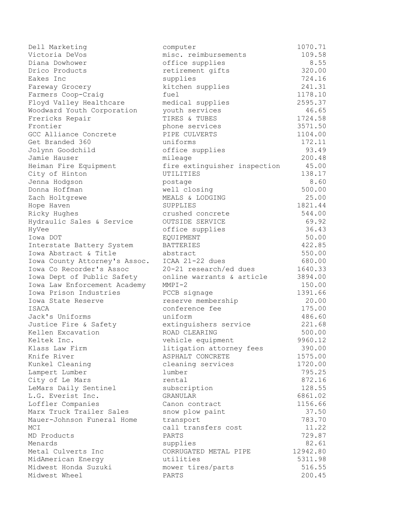| Dell Marketing                | computer                     | 1070.71  |
|-------------------------------|------------------------------|----------|
| Victoria DeVos                | misc. reimbursements         | 109.58   |
| Diana Dowhower                | office supplies              | 8.55     |
| Drico Products                | retirement gifts             | 320.00   |
| Eakes Inc                     | supplies                     | 724.16   |
| Fareway Grocery               | kitchen supplies             | 241.31   |
| Farmers Coop-Craig            | fuel                         | 1178.10  |
| Floyd Valley Healthcare       | medical supplies             | 2595.37  |
| Woodward Youth Corporation    | youth services               | 46.65    |
| Frericks Repair               | TIRES & TUBES                | 1724.58  |
| Frontier                      | phone services               | 3571.50  |
| GCC Alliance Concrete         | PIPE CULVERTS                | 1104.00  |
| Get Branded 360               | uniforms                     | 172.11   |
| Jolynn Goodchild              | office supplies              | 93.49    |
| Jamie Hauser                  | mileage                      | 200.48   |
| Heiman Fire Equipment         | fire extinguisher inspection | 45.00    |
| City of Hinton                | UTILITIES                    | 138.17   |
| Jenna Hodgson                 | postage                      | 8.60     |
| Donna Hoffman                 | well closing                 | 500.00   |
| Zach Holtgrewe                | MEALS & LODGING              | 25.00    |
| Hope Haven                    | SUPPLIES                     | 1821.44  |
| Ricky Hughes                  | crushed concrete             | 544.00   |
| Hydraulic Sales & Service     | OUTSIDE SERVICE              | 69.92    |
| HyVee                         | office supplies              | 36.43    |
| Iowa DOT                      | <b>EQUIPMENT</b>             | 50.00    |
| Interstate Battery System     | <b>BATTERIES</b>             | 422.85   |
| Iowa Abstract & Title         | abstract                     | 550.00   |
| Iowa County Attorney's Assoc. | ICAA 21-22 dues              | 680.00   |
| Iowa Co Recorder's Assoc      | 20-21 research/ed dues       | 1640.33  |
| Iowa Dept of Public Safety    | online warrants & article    | 3894.00  |
| Iowa Law Enforcement Academy  | $MMPI-2$                     | 150.00   |
| Iowa Prison Industries        | PCCB signage                 | 1391.66  |
| Iowa State Reserve            | reserve membership           | 20.00    |
| ISACA                         | conference fee               | 175.00   |
| Jack's Uniforms               | uniform                      | 486.60   |
| Justice Fire & Safety         | extinguishers service        | 221.68   |
| Kellen Excavation             | ROAD CLEARING                | 500.00   |
| Keltek Inc.                   | vehicle equipment            | 9960.12  |
| Klass Law Firm                | litigation attorney fees     | 390.00   |
| Knife River                   | ASPHALT CONCRETE             | 1575.00  |
| Kunkel Cleaning               | cleaning services            | 1720.00  |
| Lampert Lumber                | lumber                       | 795.25   |
| City of Le Mars               | rental                       | 872.16   |
| LeMars Daily Sentinel         | subscription                 | 128.55   |
| L.G. Everist Inc.             | GRANULAR                     | 6861.02  |
| Loffler Companies             | Canon contract               | 1156.66  |
| Marx Truck Trailer Sales      | snow plow paint              | 37.50    |
| Mauer-Johnson Funeral Home    | transport                    | 783.70   |
| MCI                           | call transfers cost          | 11.22    |
| MD Products                   | PARTS                        | 729.87   |
| Menards                       | supplies                     | 82.61    |
| Metal Culverts Inc            | CORRUGATED METAL PIPE        | 12942.80 |
| MidAmerican Energy            | utilities                    | 5311.98  |
| Midwest Honda Suzuki          | mower tires/parts            | 516.55   |
| Midwest Wheel                 | PARTS                        | 200.45   |
|                               |                              |          |